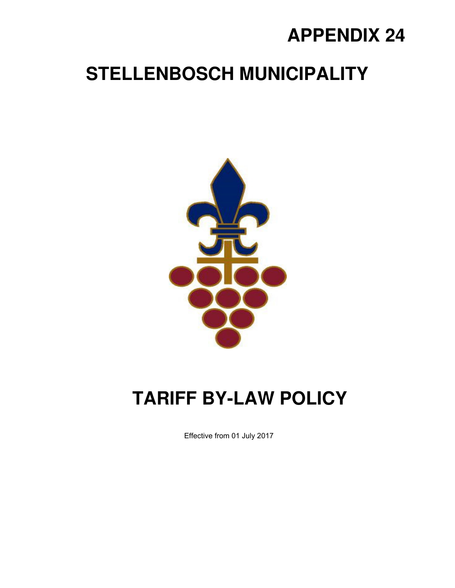## **APPENDIX 24**

## **STELLENBOSCH MUNICIPALITY**



## **TARIFF BY-LAW POLICY**

Effective from 01 July 2017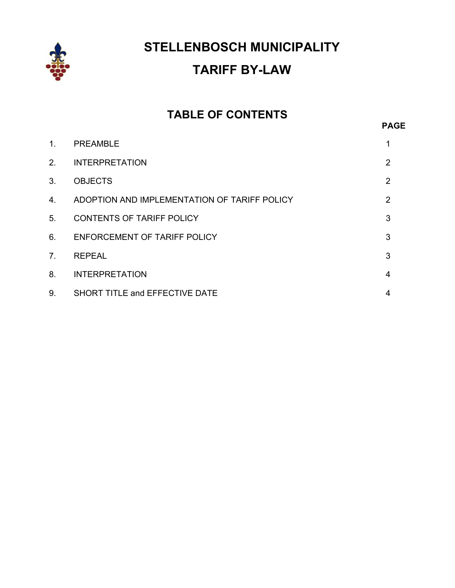

**STELLENBOSCH MUNICIPALITY TARIFF BY-LAW** 

# **TABLE OF CONTENTS**

| 1 <sub>1</sub> | <b>PREAMBLE</b>                              |   |
|----------------|----------------------------------------------|---|
| 2.             | <b>INTERPRETATION</b>                        | 2 |
| 3.             | <b>OBJECTS</b>                               | 2 |
| 4.             | ADOPTION AND IMPLEMENTATION OF TARIFF POLICY | 2 |
| 5.             | <b>CONTENTS OF TARIFF POLICY</b>             | 3 |
| 6.             | ENFORCEMENT OF TARIFF POLICY                 | 3 |
| 7 <sub>1</sub> | <b>REPEAL</b>                                | 3 |
| 8.             | <b>INTERPRETATION</b>                        | 4 |
| 9.             | SHORT TITLE and EFFECTIVE DATE               | 4 |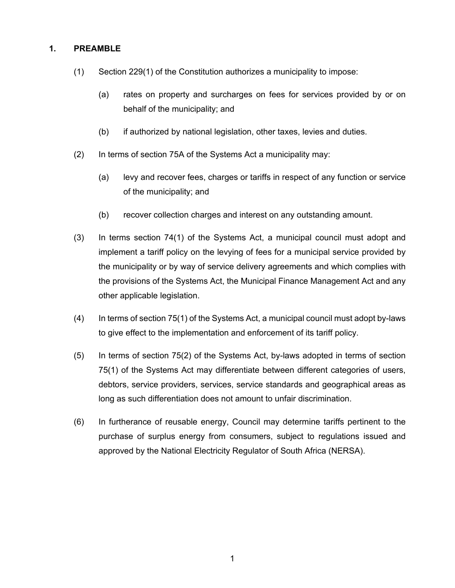#### **1. PREAMBLE**

- (1) Section 229(1) of the Constitution authorizes a municipality to impose:
	- (a) rates on property and surcharges on fees for services provided by or on behalf of the municipality; and
	- (b) if authorized by national legislation, other taxes, levies and duties.
- (2) In terms of section 75A of the Systems Act a municipality may:
	- (a) levy and recover fees, charges or tariffs in respect of any function or service of the municipality; and
	- (b) recover collection charges and interest on any outstanding amount.
- (3) In terms section 74(1) of the Systems Act, a municipal council must adopt and implement a tariff policy on the levying of fees for a municipal service provided by the municipality or by way of service delivery agreements and which complies with the provisions of the Systems Act, the Municipal Finance Management Act and any other applicable legislation.
- (4) In terms of section 75(1) of the Systems Act, a municipal council must adopt by-laws to give effect to the implementation and enforcement of its tariff policy.
- (5) In terms of section 75(2) of the Systems Act, by-laws adopted in terms of section 75(1) of the Systems Act may differentiate between different categories of users, debtors, service providers, services, service standards and geographical areas as long as such differentiation does not amount to unfair discrimination.
- (6) In furtherance of reusable energy, Council may determine tariffs pertinent to the purchase of surplus energy from consumers, subject to regulations issued and approved by the National Electricity Regulator of South Africa (NERSA).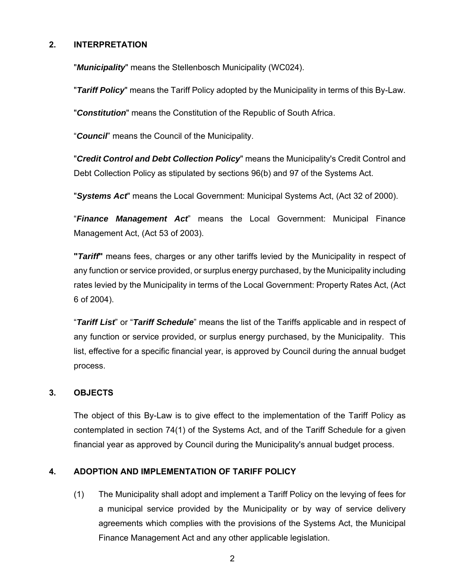#### **2. INTERPRETATION**

"*Municipality*" means the Stellenbosch Municipality (WC024).

"*Tariff Policy*" means the Tariff Policy adopted by the Municipality in terms of this By-Law.

"*Constitution*" means the Constitution of the Republic of South Africa.

"*Council*" means the Council of the Municipality.

"*Credit Control and Debt Collection Policy*" means the Municipality's Credit Control and Debt Collection Policy as stipulated by sections 96(b) and 97 of the Systems Act.

"*Systems Act*" means the Local Government: Municipal Systems Act, (Act 32 of 2000).

"*Finance Management Act*" means the Local Government: Municipal Finance Management Act, (Act 53 of 2003).

**"***Tariff***"** means fees, charges or any other tariffs levied by the Municipality in respect of any function or service provided, or surplus energy purchased, by the Municipality including rates levied by the Municipality in terms of the Local Government: Property Rates Act, (Act 6 of 2004).

"*Tariff List*" or "*Tariff Schedule*" means the list of the Tariffs applicable and in respect of any function or service provided, or surplus energy purchased, by the Municipality. This list, effective for a specific financial year, is approved by Council during the annual budget process.

#### **3. OBJECTS**

The object of this By-Law is to give effect to the implementation of the Tariff Policy as contemplated in section 74(1) of the Systems Act, and of the Tariff Schedule for a given financial year as approved by Council during the Municipality's annual budget process.

#### **4. ADOPTION AND IMPLEMENTATION OF TARIFF POLICY**

(1) The Municipality shall adopt and implement a Tariff Policy on the levying of fees for a municipal service provided by the Municipality or by way of service delivery agreements which complies with the provisions of the Systems Act, the Municipal Finance Management Act and any other applicable legislation.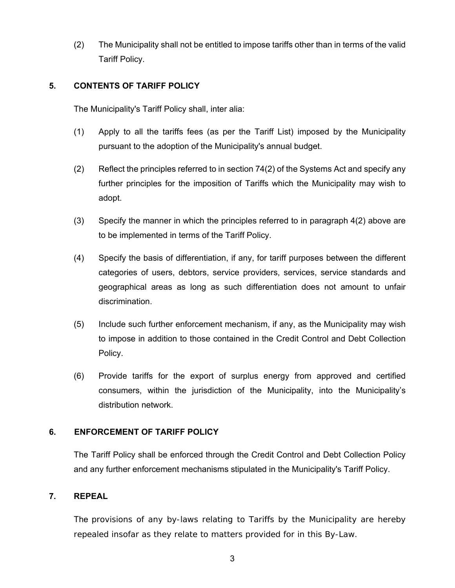(2) The Municipality shall not be entitled to impose tariffs other than in terms of the valid Tariff Policy.

#### **5. CONTENTS OF TARIFF POLICY**

The Municipality's Tariff Policy shall, inter alia:

- (1) Apply to all the tariffs fees (as per the Tariff List) imposed by the Municipality pursuant to the adoption of the Municipality's annual budget.
- (2) Reflect the principles referred to in section 74(2) of the Systems Act and specify any further principles for the imposition of Tariffs which the Municipality may wish to adopt.
- (3) Specify the manner in which the principles referred to in paragraph 4(2) above are to be implemented in terms of the Tariff Policy.
- (4) Specify the basis of differentiation, if any, for tariff purposes between the different categories of users, debtors, service providers, services, service standards and geographical areas as long as such differentiation does not amount to unfair discrimination.
- (5) Include such further enforcement mechanism, if any, as the Municipality may wish to impose in addition to those contained in the Credit Control and Debt Collection Policy.
- (6) Provide tariffs for the export of surplus energy from approved and certified consumers, within the jurisdiction of the Municipality, into the Municipality's distribution network.

#### **6. ENFORCEMENT OF TARIFF POLICY**

The Tariff Policy shall be enforced through the Credit Control and Debt Collection Policy and any further enforcement mechanisms stipulated in the Municipality's Tariff Policy.

#### **7. REPEAL**

The provisions of any by-laws relating to Tariffs by the Municipality are hereby repealed insofar as they relate to matters provided for in this By-Law.